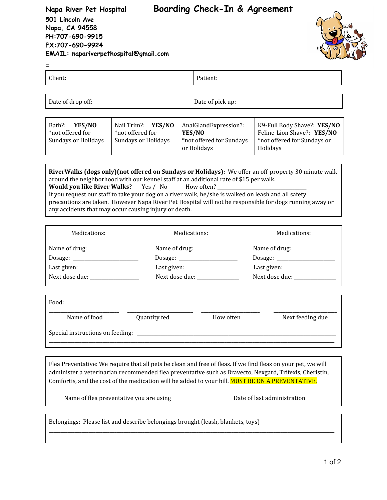# **Napa River Pet Hospital Boarding Check-In & Agreement**

**501 Lincoln Ave Napa, CA 94558 PH:707-690-9915 FX:707-690-9924 EMAIL: napariverpethospital@gmail.com**



=

Client: Patient:

Date of drop off: Date of pick up:

| Bath?:<br>YES/NO<br>YES/NO<br>Nail Trim?:<br>*not offered for<br>*not offered for<br>Sundays or Holidays<br>Sundays or Holidays | AnalGlandExpression?:<br>YES/NO<br>*not offered for Sundays<br>or Holidays | K9-Full Body Shave?: YES/NO<br>Feline-Lion Shave?: YES/NO<br>*not offered for Sundays or<br>Holidays |
|---------------------------------------------------------------------------------------------------------------------------------|----------------------------------------------------------------------------|------------------------------------------------------------------------------------------------------|
|---------------------------------------------------------------------------------------------------------------------------------|----------------------------------------------------------------------------|------------------------------------------------------------------------------------------------------|

**RiverWalks (dogs only)(not offered on Sundays or Holidays):** We offer an off-property 30 minute walk around the neighborhood with our kennel staff at an additional rate of \$15 per walk. **Would you like River Walks?** Yes / No How often? If you request our staff to take your dog on a river walk, he/she is walked on leash and all safety precautions are taken. However Napa River Pet Hospital will not be responsible for dogs running away or any accidents that may occur causing injury or death.

| Medications:                        | Medications:                                     | Medications:                     |  |
|-------------------------------------|--------------------------------------------------|----------------------------------|--|
| Name of drug: ___________________   | Name of drug:_________________                   |                                  |  |
| Dosage:                             | Dosage:                                          |                                  |  |
| Last given:________________________ | Last given: _____________________                | Last given:_____________________ |  |
| Next dose due: _________________    | Next dose due:<br>Next dose due: _______________ |                                  |  |

| Food:                            |              |           |                  |  |  |
|----------------------------------|--------------|-----------|------------------|--|--|
| Name of food                     | Quantity fed | How often | Next feeding due |  |  |
| Special instructions on feeding: |              |           |                  |  |  |

Flea Preventative: We require that all pets be clean and free of fleas. If we find fleas on your pet, we will administer a veterinarian recommended flea preventative such as Bravecto, Nexgard, Trifexis, Cheristin, Comfortis, and the cost of the medication will be added to your bill. MUST BE ON A PREVENTATIVE.

\_\_\_\_\_\_\_\_\_\_\_\_\_\_\_\_\_\_\_\_\_\_\_\_\_\_\_\_\_\_\_\_\_\_\_\_\_\_\_\_\_\_\_\_\_\_\_\_\_\_\_\_\_\_\_\_\_\_\_ \_\_\_\_\_\_\_\_\_\_\_\_\_\_\_\_\_\_\_\_\_\_\_\_\_\_\_\_\_\_\_\_\_\_\_\_\_\_\_\_\_\_\_\_\_\_\_\_\_\_\_\_\_\_\_\_

\_\_\_\_\_\_\_\_\_\_\_\_\_\_\_\_\_\_\_\_\_\_\_\_\_\_\_\_\_\_\_\_\_\_\_\_\_\_\_\_\_\_\_\_\_\_\_\_\_\_\_\_\_\_\_\_\_\_\_\_\_\_\_\_\_\_\_\_\_\_\_\_\_\_\_\_\_\_\_\_\_\_\_\_\_\_\_\_\_\_\_\_\_\_\_\_\_\_\_\_\_\_\_\_\_\_\_\_\_\_\_\_\_\_\_\_\_\_\_\_\_\_

Name of flea preventative you are using Transaction Date of last administration

Belongings: Please list and describe belongings brought (leash, blankets, toys)